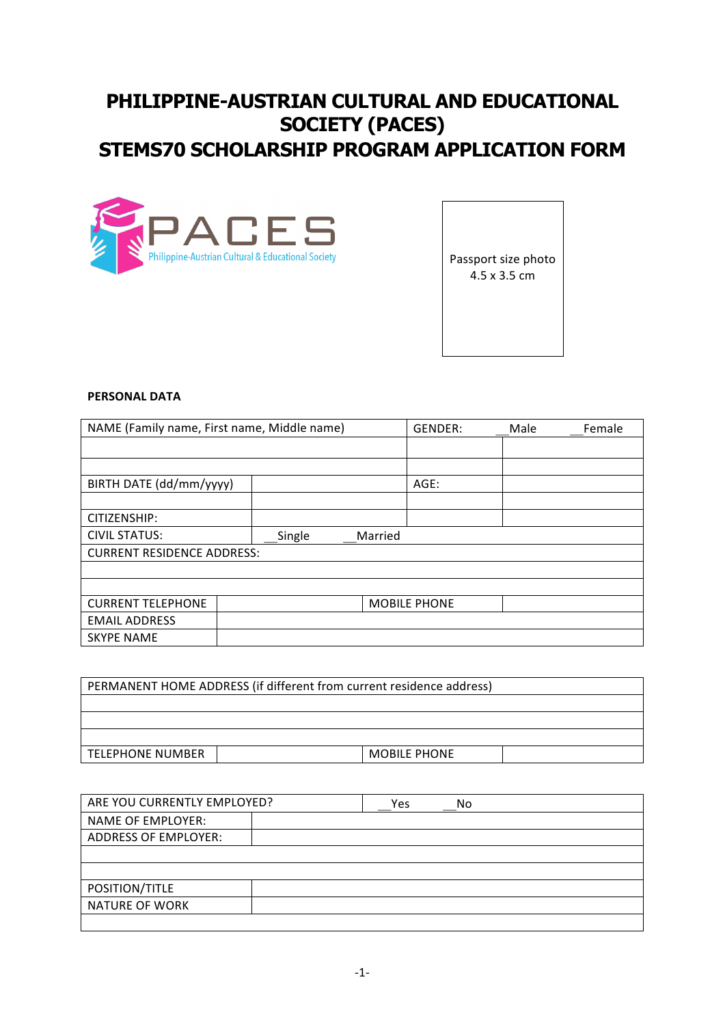## **PHILIPPINE-AUSTRIAN CULTURAL AND EDUCATIONAL SOCIETY (PACES) STEMS70 SCHOLARSHIP PROGRAM APPLICATION FORM**



Passport size photo 4.5 x 3.5 cm

#### **PERSONAL DATA**

| NAME (Family name, First name, Middle name) |        | GENDER: | Male                | Female |  |
|---------------------------------------------|--------|---------|---------------------|--------|--|
|                                             |        |         |                     |        |  |
|                                             |        |         |                     |        |  |
| BIRTH DATE (dd/mm/yyyy)                     |        |         | AGE:                |        |  |
|                                             |        |         |                     |        |  |
| CITIZENSHIP:                                |        |         |                     |        |  |
| <b>CIVIL STATUS:</b>                        | Single | Married |                     |        |  |
| <b>CURRENT RESIDENCE ADDRESS:</b>           |        |         |                     |        |  |
|                                             |        |         |                     |        |  |
|                                             |        |         |                     |        |  |
| <b>CURRENT TELEPHONE</b>                    |        |         | <b>MOBILE PHONE</b> |        |  |
| <b>EMAIL ADDRESS</b>                        |        |         |                     |        |  |
| <b>SKYPE NAME</b>                           |        |         |                     |        |  |

| PERMANENT HOME ADDRESS (if different from current residence address) |  |                     |  |
|----------------------------------------------------------------------|--|---------------------|--|
|                                                                      |  |                     |  |
|                                                                      |  |                     |  |
|                                                                      |  |                     |  |
| <b>TELEPHONE NUMBER</b>                                              |  | <b>MOBILE PHONE</b> |  |
|                                                                      |  |                     |  |

| ARE YOU CURRENTLY EMPLOYED? | No<br>Yes |
|-----------------------------|-----------|
| <b>NAME OF EMPLOYER:</b>    |           |
| <b>ADDRESS OF EMPLOYER:</b> |           |
|                             |           |
|                             |           |
| POSITION/TITLE              |           |
| NATURE OF WORK              |           |
|                             |           |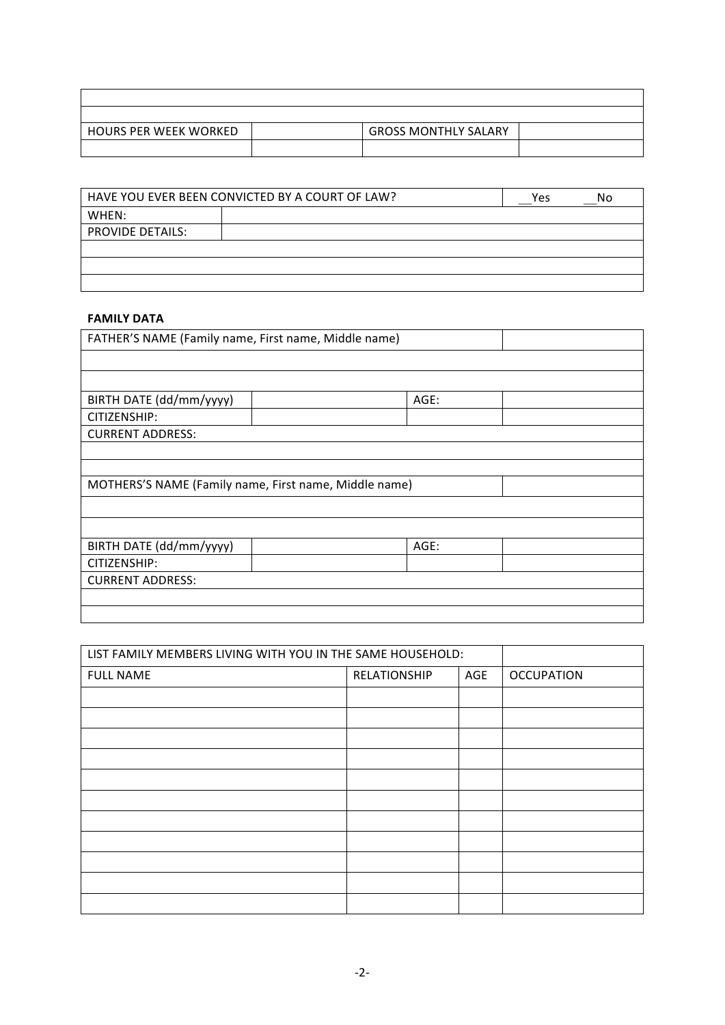| <b>HOURS PER WEEK WORKED</b> | <b>GROSS MONTHLY SALARY</b> |  |
|------------------------------|-----------------------------|--|
|                              |                             |  |

|                         | HAVE YOU EVER BEEN CONVICTED BY A COURT OF LAW? | Yes | No |
|-------------------------|-------------------------------------------------|-----|----|
| WHEN:                   |                                                 |     |    |
| <b>PROVIDE DETAILS:</b> |                                                 |     |    |
|                         |                                                 |     |    |
|                         |                                                 |     |    |
|                         |                                                 |     |    |

### **FAMILY DATA**

| FATHER'S NAME (Family name, First name, Middle name)  |      |  |
|-------------------------------------------------------|------|--|
|                                                       |      |  |
|                                                       |      |  |
| BIRTH DATE (dd/mm/yyyy)                               | AGE: |  |
| CITIZENSHIP:                                          |      |  |
| <b>CURRENT ADDRESS:</b>                               |      |  |
|                                                       |      |  |
|                                                       |      |  |
| MOTHERS'S NAME (Family name, First name, Middle name) |      |  |
|                                                       |      |  |
|                                                       |      |  |
| BIRTH DATE (dd/mm/yyyy)                               | AGE: |  |
| CITIZENSHIP:                                          |      |  |
| <b>CURRENT ADDRESS:</b>                               |      |  |
|                                                       |      |  |
|                                                       |      |  |

| LIST FAMILY MEMBERS LIVING WITH YOU IN THE SAME HOUSEHOLD: |              |     |                   |
|------------------------------------------------------------|--------------|-----|-------------------|
| <b>FULL NAME</b>                                           | RELATIONSHIP | AGE | <b>OCCUPATION</b> |
|                                                            |              |     |                   |
|                                                            |              |     |                   |
|                                                            |              |     |                   |
|                                                            |              |     |                   |
|                                                            |              |     |                   |
|                                                            |              |     |                   |
|                                                            |              |     |                   |
|                                                            |              |     |                   |
|                                                            |              |     |                   |
|                                                            |              |     |                   |
|                                                            |              |     |                   |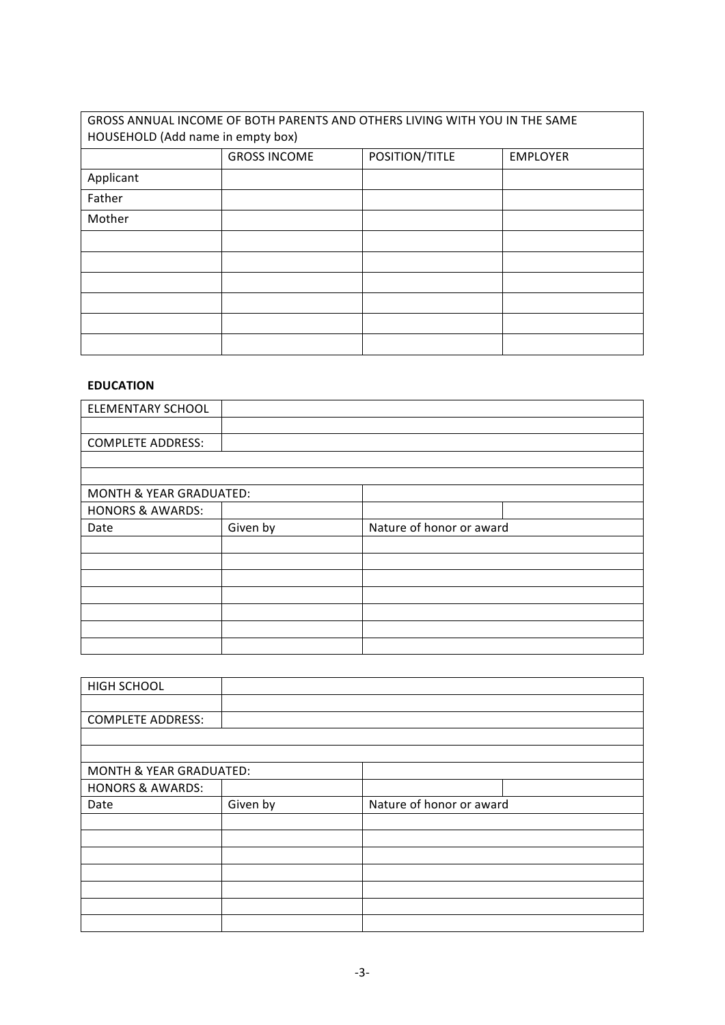# GROSS ANNUAL INCOME OF BOTH PARENTS AND OTHERS LIVING WITH YOU IN THE SAME HOUSEHOLD (Add name in empty box) GROSS INCOME POSITION/TITLE EMPLOYER Applicant Father Mother

### **EDUCATION**

| <b>ELEMENTARY SCHOOL</b>    |          |                          |  |
|-----------------------------|----------|--------------------------|--|
|                             |          |                          |  |
| <b>COMPLETE ADDRESS:</b>    |          |                          |  |
|                             |          |                          |  |
|                             |          |                          |  |
| MONTH & YEAR GRADUATED:     |          |                          |  |
| <b>HONORS &amp; AWARDS:</b> |          |                          |  |
| Date                        | Given by | Nature of honor or award |  |
|                             |          |                          |  |
|                             |          |                          |  |
|                             |          |                          |  |
|                             |          |                          |  |
|                             |          |                          |  |
|                             |          |                          |  |
|                             |          |                          |  |

| HIGH SCHOOL                        |          |                          |  |
|------------------------------------|----------|--------------------------|--|
|                                    |          |                          |  |
| <b>COMPLETE ADDRESS:</b>           |          |                          |  |
|                                    |          |                          |  |
|                                    |          |                          |  |
| <b>MONTH &amp; YEAR GRADUATED:</b> |          |                          |  |
| <b>HONORS &amp; AWARDS:</b>        |          |                          |  |
| Date                               | Given by | Nature of honor or award |  |
|                                    |          |                          |  |
|                                    |          |                          |  |
|                                    |          |                          |  |
|                                    |          |                          |  |
|                                    |          |                          |  |
|                                    |          |                          |  |
|                                    |          |                          |  |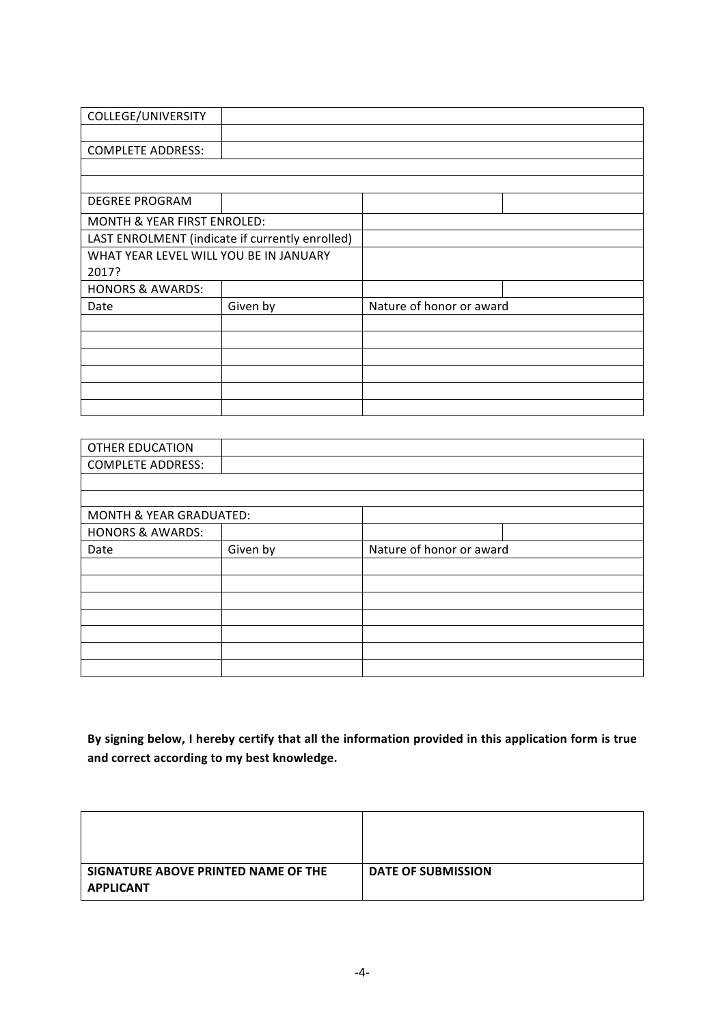| COLLEGE/UNIVERSITY                     |                                                 |                          |  |
|----------------------------------------|-------------------------------------------------|--------------------------|--|
|                                        |                                                 |                          |  |
| <b>COMPLETE ADDRESS:</b>               |                                                 |                          |  |
|                                        |                                                 |                          |  |
|                                        |                                                 |                          |  |
| <b>DEGREE PROGRAM</b>                  |                                                 |                          |  |
| <b>MONTH &amp; YEAR FIRST ENROLED:</b> |                                                 |                          |  |
|                                        | LAST ENROLMENT (indicate if currently enrolled) |                          |  |
| WHAT YEAR LEVEL WILL YOU BE IN JANUARY |                                                 |                          |  |
| 2017?                                  |                                                 |                          |  |
| <b>HONORS &amp; AWARDS:</b>            |                                                 |                          |  |
| Date                                   | Given by                                        | Nature of honor or award |  |
|                                        |                                                 |                          |  |
|                                        |                                                 |                          |  |
|                                        |                                                 |                          |  |
|                                        |                                                 |                          |  |
|                                        |                                                 |                          |  |
|                                        |                                                 |                          |  |

| <b>OTHER EDUCATION</b>      |          |                          |  |
|-----------------------------|----------|--------------------------|--|
| <b>COMPLETE ADDRESS:</b>    |          |                          |  |
|                             |          |                          |  |
|                             |          |                          |  |
| MONTH & YEAR GRADUATED:     |          |                          |  |
| <b>HONORS &amp; AWARDS:</b> |          |                          |  |
| Date                        | Given by | Nature of honor or award |  |
|                             |          |                          |  |
|                             |          |                          |  |
|                             |          |                          |  |
|                             |          |                          |  |
|                             |          |                          |  |
|                             |          |                          |  |
|                             |          |                          |  |

By signing below, I hereby certify that all the information provided in this application form is true and correct according to my best knowledge.

| SIGNATURE ABOVE PRINTED NAME OF THE<br><b>APPLICANT</b> | <b>DATE OF SUBMISSION</b> |
|---------------------------------------------------------|---------------------------|